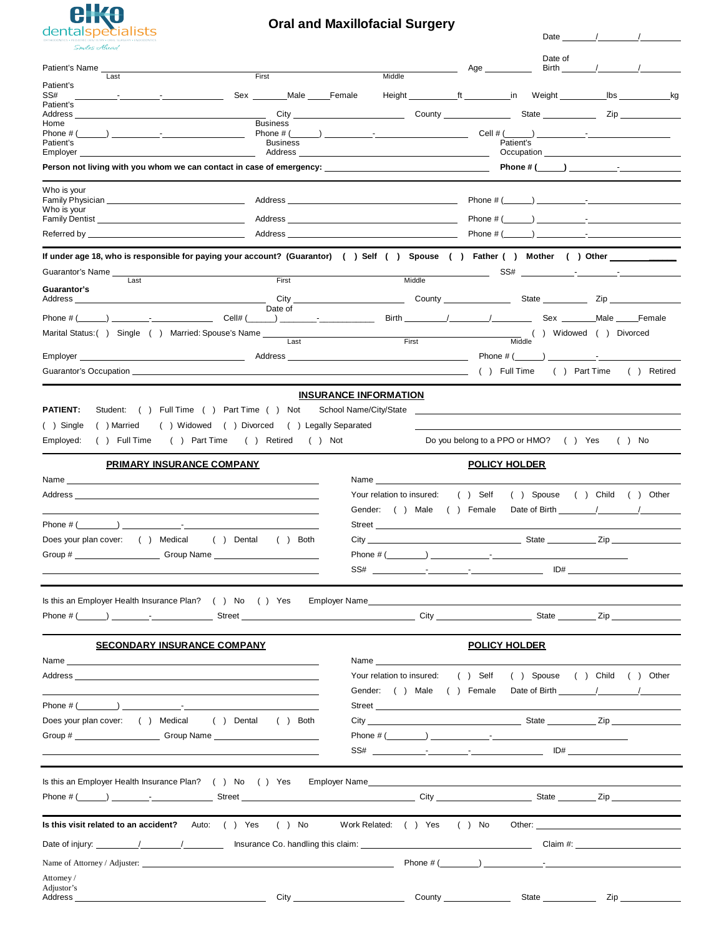

## **Oral and Maxillofacial Surgery**

| <u>Chaupedianou</u><br>Smiles Alicad                                                                                                                                                                                           |                              |                                                                                                                                                                                                                                      |                                       | Date _                                                                                                                                                                                                                                                                                                                            |                                                                                                                |
|--------------------------------------------------------------------------------------------------------------------------------------------------------------------------------------------------------------------------------|------------------------------|--------------------------------------------------------------------------------------------------------------------------------------------------------------------------------------------------------------------------------------|---------------------------------------|-----------------------------------------------------------------------------------------------------------------------------------------------------------------------------------------------------------------------------------------------------------------------------------------------------------------------------------|----------------------------------------------------------------------------------------------------------------|
|                                                                                                                                                                                                                                |                              |                                                                                                                                                                                                                                      | Age                                   | Date of<br>Birth                                                                                                                                                                                                                                                                                                                  |                                                                                                                |
| Patient's                                                                                                                                                                                                                      | First                        | Middle                                                                                                                                                                                                                               |                                       |                                                                                                                                                                                                                                                                                                                                   |                                                                                                                |
| SS#<br><b>Contract Contract</b>                                                                                                                                                                                                | Sex Male                     | Female<br>Height                                                                                                                                                                                                                     | ft<br>$\_$ in                         | lbs<br>Weight                                                                                                                                                                                                                                                                                                                     | _kg                                                                                                            |
| Patient's<br>Address                                                                                                                                                                                                           | City                         |                                                                                                                                                                                                                                      | <b>County County</b>                  | <b>State State</b>                                                                                                                                                                                                                                                                                                                | Zip and the set of the set of the set of the set of the set of the set of the set of the set of the set of the |
| Home<br>Phone # (                                                                                                                                                                                                              | <b>Business</b><br>Phone # ( |                                                                                                                                                                                                                                      | Cell # (                              |                                                                                                                                                                                                                                                                                                                                   |                                                                                                                |
| Patient's                                                                                                                                                                                                                      | <b>Business</b>              |                                                                                                                                                                                                                                      | Patient's                             |                                                                                                                                                                                                                                                                                                                                   |                                                                                                                |
| Employer                                                                                                                                                                                                                       | Address                      |                                                                                                                                                                                                                                      |                                       | Occupation <u>_________________________________</u>                                                                                                                                                                                                                                                                               |                                                                                                                |
| Person not living with you whom we can contact in case of emergency: _______________________________                                                                                                                           |                              |                                                                                                                                                                                                                                      |                                       | Phone # $($ $)$ $\qquad$ $\qquad$ $\qquad$ $\qquad$ $\qquad$ $\qquad$ $\qquad$ $\qquad$ $\qquad$ $\qquad$ $\qquad$ $\qquad$ $\qquad$ $\qquad$ $\qquad$ $\qquad$ $\qquad$ $\qquad$ $\qquad$ $\qquad$ $\qquad$ $\qquad$ $\qquad$ $\qquad$ $\qquad$ $\qquad$ $\qquad$ $\qquad$ $\qquad$ $\qquad$ $\qquad$ $\qquad$ $\qquad$ $\qquad$ |                                                                                                                |
| Who is your                                                                                                                                                                                                                    |                              |                                                                                                                                                                                                                                      |                                       |                                                                                                                                                                                                                                                                                                                                   |                                                                                                                |
| Who is your                                                                                                                                                                                                                    | Address                      | <u>and the state of the state of the state of the state of the state of the state of the state of the state of the state of the state of the state of the state of the state of the state of the state of the state of the state</u> | Phone # (                             |                                                                                                                                                                                                                                                                                                                                   |                                                                                                                |
| Family Dentist <b>Example 20</b> Family Dentist                                                                                                                                                                                | Address                      |                                                                                                                                                                                                                                      | Phone # (                             |                                                                                                                                                                                                                                                                                                                                   |                                                                                                                |
| Referred by ___<br><u> 1989 - Johann Stein, Amerikaansk politiker (* 1908)</u>                                                                                                                                                 | Address                      |                                                                                                                                                                                                                                      | Phone $#$ (                           |                                                                                                                                                                                                                                                                                                                                   | <b>Experience of the Community</b>                                                                             |
| If under age 18, who is responsible for paying your account? (Guarantor) ( ) Self ( ) Spouse ( ) Father ( ) Mother ( ) Other _________<br>Guarantor's Name                                                                     |                              |                                                                                                                                                                                                                                      | SS#                                   |                                                                                                                                                                                                                                                                                                                                   |                                                                                                                |
| Last                                                                                                                                                                                                                           | First                        | Middle                                                                                                                                                                                                                               |                                       |                                                                                                                                                                                                                                                                                                                                   |                                                                                                                |
| Guarantor's<br>Address                                                                                                                                                                                                         | City                         |                                                                                                                                                                                                                                      | County _______________                | State Zip                                                                                                                                                                                                                                                                                                                         |                                                                                                                |
|                                                                                                                                                                                                                                | Date of                      |                                                                                                                                                                                                                                      |                                       |                                                                                                                                                                                                                                                                                                                                   |                                                                                                                |
| $\angle$ Cell# (<br>Phone # (                                                                                                                                                                                                  |                              |                                                                                                                                                                                                                                      |                                       | Sex Male Female                                                                                                                                                                                                                                                                                                                   |                                                                                                                |
| Marital Status: () Single () Married: Spouse's Name ____                                                                                                                                                                       | Last                         | $\frac{1}{2}$ First                                                                                                                                                                                                                  | Middle                                | ( ) Widowed ( ) Divorced                                                                                                                                                                                                                                                                                                          |                                                                                                                |
| Employer _<br><u> 1989 - Johann Barbara, martin a</u>                                                                                                                                                                          |                              |                                                                                                                                                                                                                                      | Phone # (                             |                                                                                                                                                                                                                                                                                                                                   |                                                                                                                |
| Guarantor's Occupation <b>Example 2018</b>                                                                                                                                                                                     |                              |                                                                                                                                                                                                                                      | () Full Time                          | ( ) Part Time                                                                                                                                                                                                                                                                                                                     | ( ) Retired                                                                                                    |
|                                                                                                                                                                                                                                |                              | <b>INSURANCE INFORMATION</b>                                                                                                                                                                                                         |                                       |                                                                                                                                                                                                                                                                                                                                   |                                                                                                                |
| <b>PATIENT:</b><br>Student: ( ) Full Time ( ) Part Time ( ) Not                                                                                                                                                                |                              | School Name/City/State                                                                                                                                                                                                               |                                       |                                                                                                                                                                                                                                                                                                                                   |                                                                                                                |
|                                                                                                                                                                                                                                |                              |                                                                                                                                                                                                                                      |                                       |                                                                                                                                                                                                                                                                                                                                   |                                                                                                                |
| () Widowed () Divorced<br>( ) Single<br>( ) Married                                                                                                                                                                            | () Legally Separated         |                                                                                                                                                                                                                                      |                                       |                                                                                                                                                                                                                                                                                                                                   |                                                                                                                |
| ( ) Part Time<br>Employed:<br>( ) Full Time                                                                                                                                                                                    | ( ) Retired<br>$( )$ Not     |                                                                                                                                                                                                                                      | Do you belong to a PPO or HMO? () Yes |                                                                                                                                                                                                                                                                                                                                   | $( )$ No                                                                                                       |
| PRIMARY INSURANCE COMPANY                                                                                                                                                                                                      |                              |                                                                                                                                                                                                                                      | <b>POLICY HOLDER</b>                  |                                                                                                                                                                                                                                                                                                                                   |                                                                                                                |
| Name                                                                                                                                                                                                                           |                              | Name                                                                                                                                                                                                                                 |                                       |                                                                                                                                                                                                                                                                                                                                   |                                                                                                                |
| Address                                                                                                                                                                                                                        |                              | Your relation to insured:                                                                                                                                                                                                            | $( )$ Self<br>( ) Spouse              | ( ) Child ( ) Other                                                                                                                                                                                                                                                                                                               |                                                                                                                |
|                                                                                                                                                                                                                                |                              | Gender: ( ) Male ( ) Female                                                                                                                                                                                                          |                                       | Date of Birth                                                                                                                                                                                                                                                                                                                     |                                                                                                                |
| Phone # (<br>$\sim$                                                                                                                                                                                                            |                              | Street                                                                                                                                                                                                                               |                                       |                                                                                                                                                                                                                                                                                                                                   |                                                                                                                |
| Does your plan cover: () Medical                                                                                                                                                                                               | $( )$ Dental<br>$( )$ Both   |                                                                                                                                                                                                                                      |                                       |                                                                                                                                                                                                                                                                                                                                   |                                                                                                                |
|                                                                                                                                                                                                                                |                              |                                                                                                                                                                                                                                      |                                       |                                                                                                                                                                                                                                                                                                                                   |                                                                                                                |
|                                                                                                                                                                                                                                |                              | SS#<br>the contract of the contract of the contract of the contract of                                                                                                                                                               |                                       | ID#                                                                                                                                                                                                                                                                                                                               |                                                                                                                |
|                                                                                                                                                                                                                                |                              |                                                                                                                                                                                                                                      |                                       |                                                                                                                                                                                                                                                                                                                                   |                                                                                                                |
| Is this an Employer Health Insurance Plan? () No () Yes Employer Name______________________________                                                                                                                            |                              |                                                                                                                                                                                                                                      |                                       |                                                                                                                                                                                                                                                                                                                                   |                                                                                                                |
|                                                                                                                                                                                                                                |                              |                                                                                                                                                                                                                                      |                                       |                                                                                                                                                                                                                                                                                                                                   |                                                                                                                |
| <b>SECONDARY INSURANCE COMPANY</b>                                                                                                                                                                                             |                              |                                                                                                                                                                                                                                      | <b>POLICY HOLDER</b>                  |                                                                                                                                                                                                                                                                                                                                   |                                                                                                                |
| Name and the contract of the contract of the contract of the contract of the contract of the contract of the contract of the contract of the contract of the contract of the contract of the contract of the contract of the c |                              | Name __________                                                                                                                                                                                                                      |                                       |                                                                                                                                                                                                                                                                                                                                   |                                                                                                                |
| Address and the contract of the contract of the contract of the contract of the contract of the contract of the contract of the contract of the contract of the contract of the contract of the contract of the contract of th |                              | Your relation to insured:                                                                                                                                                                                                            |                                       | () Self () Spouse () Child () Other                                                                                                                                                                                                                                                                                               |                                                                                                                |
|                                                                                                                                                                                                                                |                              |                                                                                                                                                                                                                                      |                                       |                                                                                                                                                                                                                                                                                                                                   |                                                                                                                |
|                                                                                                                                                                                                                                |                              | Street                                                                                                                                                                                                                               |                                       |                                                                                                                                                                                                                                                                                                                                   |                                                                                                                |
| Does your plan cover: () Medical () Dental () Both                                                                                                                                                                             |                              |                                                                                                                                                                                                                                      |                                       |                                                                                                                                                                                                                                                                                                                                   |                                                                                                                |
|                                                                                                                                                                                                                                |                              |                                                                                                                                                                                                                                      |                                       |                                                                                                                                                                                                                                                                                                                                   |                                                                                                                |
|                                                                                                                                                                                                                                |                              |                                                                                                                                                                                                                                      |                                       |                                                                                                                                                                                                                                                                                                                                   |                                                                                                                |
|                                                                                                                                                                                                                                |                              |                                                                                                                                                                                                                                      |                                       |                                                                                                                                                                                                                                                                                                                                   |                                                                                                                |
|                                                                                                                                                                                                                                |                              |                                                                                                                                                                                                                                      |                                       |                                                                                                                                                                                                                                                                                                                                   |                                                                                                                |
|                                                                                                                                                                                                                                |                              |                                                                                                                                                                                                                                      |                                       |                                                                                                                                                                                                                                                                                                                                   |                                                                                                                |
|                                                                                                                                                                                                                                |                              |                                                                                                                                                                                                                                      |                                       |                                                                                                                                                                                                                                                                                                                                   |                                                                                                                |
| Is this visit related to an accident? Auto: () Yes () No                                                                                                                                                                       |                              | Work Related: () Yes () No                                                                                                                                                                                                           |                                       | Other: the contract of the contract of the contract of the contract of the contract of the contract of the contract of the contract of the contract of the contract of the contract of the contract of the contract of the con                                                                                                    |                                                                                                                |
|                                                                                                                                                                                                                                |                              |                                                                                                                                                                                                                                      |                                       |                                                                                                                                                                                                                                                                                                                                   |                                                                                                                |
|                                                                                                                                                                                                                                |                              |                                                                                                                                                                                                                                      |                                       |                                                                                                                                                                                                                                                                                                                                   |                                                                                                                |
|                                                                                                                                                                                                                                |                              |                                                                                                                                                                                                                                      |                                       |                                                                                                                                                                                                                                                                                                                                   |                                                                                                                |
| Attorney/                                                                                                                                                                                                                      |                              |                                                                                                                                                                                                                                      |                                       |                                                                                                                                                                                                                                                                                                                                   |                                                                                                                |
| Adjustor's<br><u>City</u> City <b>City</b><br>Address                                                                                                                                                                          |                              |                                                                                                                                                                                                                                      |                                       | County State Zip                                                                                                                                                                                                                                                                                                                  |                                                                                                                |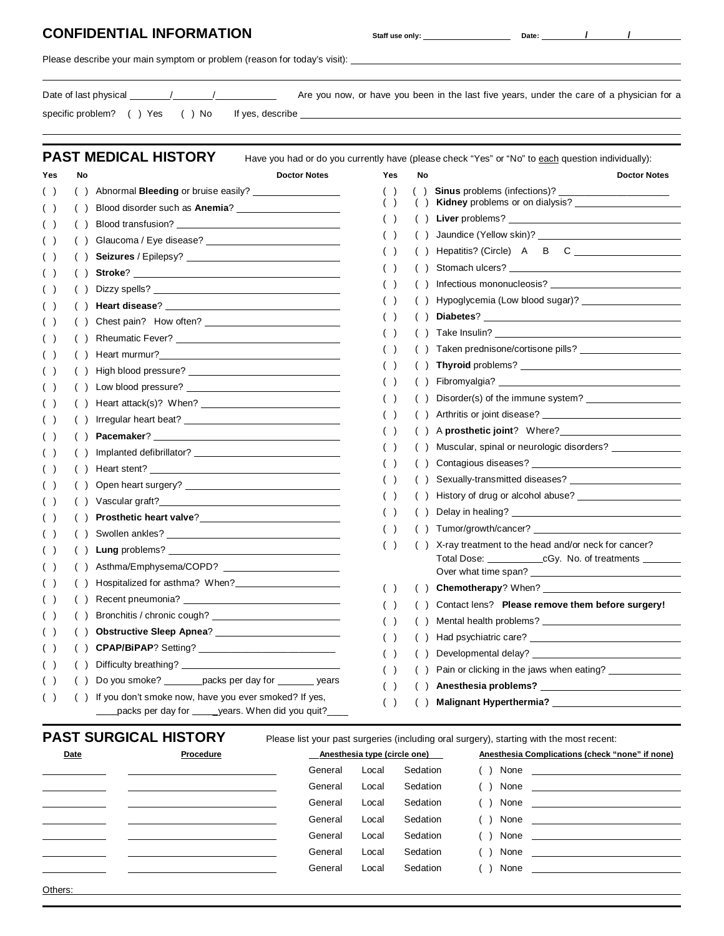### **CONFIDENTIAL INFORMATION Staff use only: Date: Date:** */ // //* /

Please describe your main symptom or problem (reason for today's visit):

| Date of last physical          |  |                  | Are you now, or have you been in the last five years, under the care of a physician for a |
|--------------------------------|--|------------------|-------------------------------------------------------------------------------------------|
| specific problem? () Yes () No |  | If yes, describe |                                                                                           |

**PAST MEDICAL HISTORY** Have you had or do you currently have (please check "Yes" or "No" to each question individually):

| Yes   | No             | <b>Doctor Notes</b>                                                                                                                                                                                                                 | Yes   | No  | <b>Doctor Notes</b>                                                                                                                                                                                                            |
|-------|----------------|-------------------------------------------------------------------------------------------------------------------------------------------------------------------------------------------------------------------------------------|-------|-----|--------------------------------------------------------------------------------------------------------------------------------------------------------------------------------------------------------------------------------|
| $($ ) | ( )            | Abnormal <b>Bleeding</b> or bruise easily? ___________                                                                                                                                                                              | $($ ) |     | Sinus problems (infections)? ____________                                                                                                                                                                                      |
| ( )   |                |                                                                                                                                                                                                                                     | $($ ) |     | Kidney problems or on dialysis?                                                                                                                                                                                                |
| ( )   | $\left($       | Blood transfusion? The contract of the contract of the contract of the contract of the contract of the contract of the contract of the contract of the contract of the contract of the contract of the contract of the contrac      | ( )   |     | Liver problems?                                                                                                                                                                                                                |
| ( )   | ( )            | Glaucoma / Eye disease?                                                                                                                                                                                                             | ( )   |     |                                                                                                                                                                                                                                |
| ( )   | (              | <b>Seizures</b> / Epilepsy?                                                                                                                                                                                                         | ( )   |     |                                                                                                                                                                                                                                |
| ( )   |                |                                                                                                                                                                                                                                     | $($ ) |     | Stomach ulcers? The contract of the state of the state of the state of the state of the state of the state of the state of the state of the state of the state of the state of the state of the state of the state of the stat |
| ( )   |                | Dizzy spells? <u>Andrea Barbara and the second second</u> contact the second second second second second second second second second second second second second second second second second second second second second second sec | ( )   |     | Infectious mononucleosis?                                                                                                                                                                                                      |
| ( )   | (              |                                                                                                                                                                                                                                     | ( )   |     |                                                                                                                                                                                                                                |
| ( )   | (              |                                                                                                                                                                                                                                     | ( )   | ( ) | Diabetes?                                                                                                                                                                                                                      |
| ( )   |                |                                                                                                                                                                                                                                     | ( )   |     |                                                                                                                                                                                                                                |
| ( )   |                | Heart murmur?                                                                                                                                                                                                                       | ( )   |     |                                                                                                                                                                                                                                |
| ( )   |                | High blood pressure?                                                                                                                                                                                                                | $($ ) |     |                                                                                                                                                                                                                                |
| ( )   |                |                                                                                                                                                                                                                                     | ( )   |     | Fibromyalgia?                                                                                                                                                                                                                  |
| ( )   |                |                                                                                                                                                                                                                                     | $($ ) |     | Disorder(s) of the immune system?                                                                                                                                                                                              |
| ( )   |                | Irregular heart beat?                                                                                                                                                                                                               | ( )   |     | Arthritis or joint disease?                                                                                                                                                                                                    |
| ( )   | $\overline{ }$ |                                                                                                                                                                                                                                     | ( )   |     |                                                                                                                                                                                                                                |
| ( )   |                |                                                                                                                                                                                                                                     | $($ ) |     | Muscular, spinal or neurologic disorders? ___________                                                                                                                                                                          |
| ( )   | $($ )          | Heart stent?                                                                                                                                                                                                                        | ( )   |     | Contagious diseases? <b>Example 20</b>                                                                                                                                                                                         |
| ( )   | (              |                                                                                                                                                                                                                                     | ( )   | ( ) |                                                                                                                                                                                                                                |
| ( )   |                |                                                                                                                                                                                                                                     | ( )   |     | History of drug or alcohol abuse?                                                                                                                                                                                              |
| ( )   |                | Prosthetic heart valve?<br><u>Frosthetic</u> heart valve?                                                                                                                                                                           | ( )   |     |                                                                                                                                                                                                                                |
| ( )   |                |                                                                                                                                                                                                                                     | $($ ) |     |                                                                                                                                                                                                                                |
| ( )   |                |                                                                                                                                                                                                                                     | ( )   |     | X-ray treatment to the head and/or neck for cancer?                                                                                                                                                                            |
| ( )   |                |                                                                                                                                                                                                                                     |       |     | Total Dose: ________________cGy. No. of treatments __________                                                                                                                                                                  |
| ( )   |                |                                                                                                                                                                                                                                     | ( )   |     | Chemotherapy? When?                                                                                                                                                                                                            |
| ( )   |                |                                                                                                                                                                                                                                     | $($ ) |     | Contact lens? Please remove them before surgery!                                                                                                                                                                               |
| ( )   |                |                                                                                                                                                                                                                                     | ( )   |     | Mental health problems?                                                                                                                                                                                                        |
| ( )   |                |                                                                                                                                                                                                                                     | $($ ) |     |                                                                                                                                                                                                                                |
| ( )   | ( )            |                                                                                                                                                                                                                                     | $($ ) |     |                                                                                                                                                                                                                                |
| $($ ) | $($ )          | Difficulty breathing?                                                                                                                                                                                                               | $($ ) |     | Pain or clicking in the jaws when eating? ____________                                                                                                                                                                         |
| ( )   |                | Do you smoke? ________ packs per day for ________ years                                                                                                                                                                             | ( )   |     |                                                                                                                                                                                                                                |
| ( )   | ( )            | If you don't smoke now, have you ever smoked? If yes,                                                                                                                                                                               | ( )   |     | Malignant Hyperthermia? ______________                                                                                                                                                                                         |
|       |                | packs per day for _____years. When did you quit?____                                                                                                                                                                                |       |     |                                                                                                                                                                                                                                |

## **PAST SURGICAL HISTORY** Please list your past surgeries (including oral surgery), starting with the most recent:

| Date    | Procedure | Anesthesia type (circle one) |       |          | Anesthesia Complications (check "none" if none) |  |  |
|---------|-----------|------------------------------|-------|----------|-------------------------------------------------|--|--|
|         |           | General                      | Local | Sedation |                                                 |  |  |
|         |           | General                      | Local | Sedation |                                                 |  |  |
|         |           | General                      | Local | Sedation | $( )$ None                                      |  |  |
|         |           | General                      | Local | Sedation | $( )$ None                                      |  |  |
|         |           | General                      | Local | Sedation |                                                 |  |  |
|         |           | General                      | Local | Sedation | $( )$ None $\qquad$                             |  |  |
|         |           | General                      | Local | Sedation | $( )$ None                                      |  |  |
| Others: |           |                              |       |          |                                                 |  |  |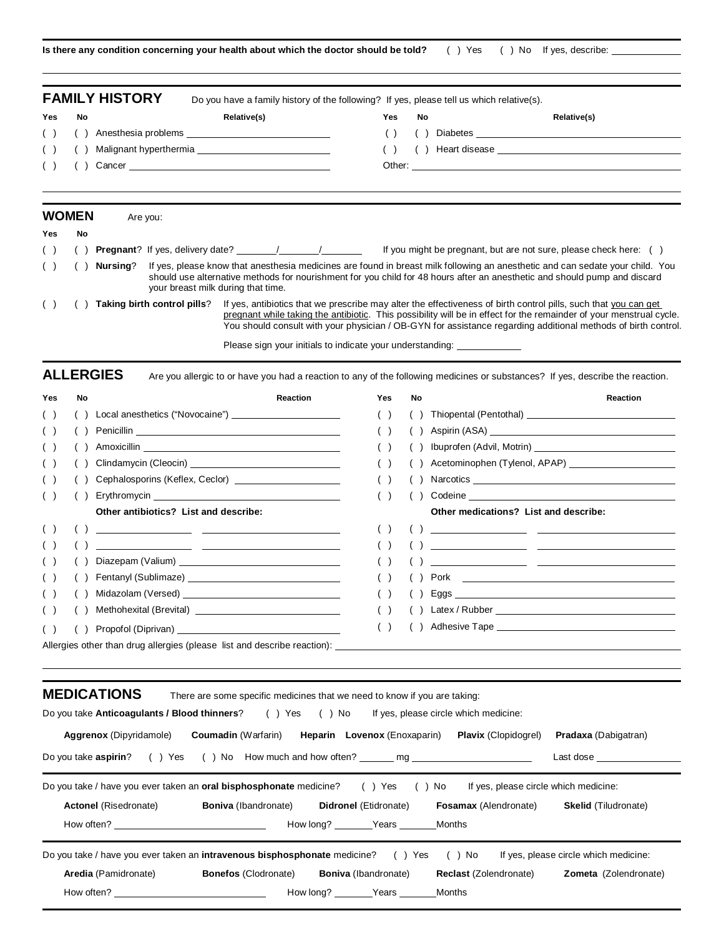**Is there any condition concerning your health about which the doctor should be told?** ( ) Yes ( ) No If yes, describe:

|     |              | <b>FAMILY HISTORY</b> | Do you have a family history of the following? If yes, please tell us which relative(s). |  |
|-----|--------------|-----------------------|------------------------------------------------------------------------------------------|--|
| Yes | No           | Relative(s)           | Yes<br>No<br>Relative(s)                                                                 |  |
|     | ( ) ( )      |                       | $\rightarrow$                                                                            |  |
| ( ) |              |                       |                                                                                          |  |
| ( ) |              |                       |                                                                                          |  |
|     |              |                       |                                                                                          |  |
|     | <b>WOMEN</b> | Are you:              |                                                                                          |  |
| Yes | No           |                       |                                                                                          |  |
| ( ) |              |                       | If you might be pregnant, but are not sure, please check here: ()                        |  |

( ) ( ) **Nursing**? If yes, please know that anesthesia medicines are found in breast milk following an anesthetic and can sedate your child. You should use alternative methods for nourishment for you child for 48 hours after an anesthetic and should pump and discard your breast milk during that time.

( ) ( ) **Taking birth control pills**? If yes, antibiotics that we prescribe may alter the effectiveness of birth control pills, such that you can get pregnant while taking the antibiotic. This possibility will be in effect for the remainder of your menstrual cycle. You should consult with your physician / OB-GYN for assistance regarding additional methods of birth control.

Please sign your initials to indicate your understanding:

ALLERGIES Are you allergic to or have you had a reaction to any of the following medicines or substances? If yes, describe the reaction.

| <b>Yes</b> | No | <b>Reaction</b>                                                                                                                                                                                                                | Yes | No | <b>Reaction</b>                                                                                                                                                                                                                                                                                                                                                                                                                                                                                                                                                                     |
|------------|----|--------------------------------------------------------------------------------------------------------------------------------------------------------------------------------------------------------------------------------|-----|----|-------------------------------------------------------------------------------------------------------------------------------------------------------------------------------------------------------------------------------------------------------------------------------------------------------------------------------------------------------------------------------------------------------------------------------------------------------------------------------------------------------------------------------------------------------------------------------------|
| ( )        |    | Local anesthetics ("Novocaine") _________________________                                                                                                                                                                      |     |    |                                                                                                                                                                                                                                                                                                                                                                                                                                                                                                                                                                                     |
|            |    |                                                                                                                                                                                                                                |     |    | Aspirin (ASA) and the state of the state of the state of the state of the state of the state of the state of the state of the state of the state of the state of the state of the state of the state of the state of the state                                                                                                                                                                                                                                                                                                                                                      |
|            |    |                                                                                                                                                                                                                                |     |    |                                                                                                                                                                                                                                                                                                                                                                                                                                                                                                                                                                                     |
| (          |    |                                                                                                                                                                                                                                |     |    |                                                                                                                                                                                                                                                                                                                                                                                                                                                                                                                                                                                     |
| ( )        |    | Cephalosporins (Keflex, Ceclor) _______________________                                                                                                                                                                        |     |    |                                                                                                                                                                                                                                                                                                                                                                                                                                                                                                                                                                                     |
| ( )        |    |                                                                                                                                                                                                                                |     |    |                                                                                                                                                                                                                                                                                                                                                                                                                                                                                                                                                                                     |
|            |    | Other antibiotics? List and describe:                                                                                                                                                                                          |     |    | Other medications? List and describe:                                                                                                                                                                                                                                                                                                                                                                                                                                                                                                                                               |
|            |    | <u> 1989 - Johann John Stein, mars an de British (b. 1989)</u>                                                                                                                                                                 | (   |    | $\left(\begin{array}{ccc} \end{array}\right)$ and $\left(\begin{array}{ccc} \end{array}\right)$ and $\left(\begin{array}{ccc} \end{array}\right)$ and $\left(\begin{array}{ccc} \end{array}\right)$ and $\left(\begin{array}{ccc} \end{array}\right)$ and $\left(\begin{array}{ccc} \end{array}\right)$ and $\left(\begin{array}{ccc} \end{array}\right)$ and $\left(\begin{array}{ccc} \end{array}\right)$ and $\left(\begin{array}{ccc} \end{array}\right)$ and $\left(\begin{array}{ccc} \end{array$                                                                             |
|            |    |                                                                                                                                                                                                                                |     |    | $\begin{array}{ccc} \begin{array}{ccc} \end{array} & \begin{array}{ccc} \end{array} & \begin{array}{ccc} \end{array} & \begin{array}{ccc} \end{array} & \begin{array}{ccc} \end{array} & \begin{array}{ccc} \end{array} & \begin{array}{ccc} \end{array} & \begin{array}{ccc} \end{array} & \begin{array}{ccc} \end{array} & \begin{array}{ccc} \end{array} & \begin{array}{ccc} \end{array} & \begin{array}{ccc} \end{array} & \begin{array}{ccc} \end{array} & \begin{array}{ccc} \end{array} & \begin{array}{ccc} \end{array} & \begin{array}{ccc} \end{array} & \begin{array}{$ |
|            |    |                                                                                                                                                                                                                                |     |    | <u> 1989 - Andrea Stadt, amerikansk politik (d. 1989)</u>                                                                                                                                                                                                                                                                                                                                                                                                                                                                                                                           |
| (          |    | Fentanyl (Sublimaze) Manual Assemblue Contains a manual contains a substitution of the state of the state of the state of the state of the state of the state of the state of the state of the state of the state of the state | (   |    |                                                                                                                                                                                                                                                                                                                                                                                                                                                                                                                                                                                     |
|            |    |                                                                                                                                                                                                                                |     |    |                                                                                                                                                                                                                                                                                                                                                                                                                                                                                                                                                                                     |
|            |    |                                                                                                                                                                                                                                |     |    |                                                                                                                                                                                                                                                                                                                                                                                                                                                                                                                                                                                     |
|            | (  |                                                                                                                                                                                                                                | (   |    |                                                                                                                                                                                                                                                                                                                                                                                                                                                                                                                                                                                     |
|            |    | Allergies other than drug allergies (please list and describe reaction):                                                                                                                                                       |     |    |                                                                                                                                                                                                                                                                                                                                                                                                                                                                                                                                                                                     |

| <b>MEDICATIONS</b>                                                                                                                                                                                                                                                                                                              | There are some specific medicines that we need to know if you are taking: |                                     |                               |                                                                                                                                                                                                                                |  |  |
|---------------------------------------------------------------------------------------------------------------------------------------------------------------------------------------------------------------------------------------------------------------------------------------------------------------------------------|---------------------------------------------------------------------------|-------------------------------------|-------------------------------|--------------------------------------------------------------------------------------------------------------------------------------------------------------------------------------------------------------------------------|--|--|
| Do you take <b>Anticoagulants / Blood thinners</b> ? (b) Yes (b) No If yes, please circle which medicine:                                                                                                                                                                                                                       |                                                                           |                                     |                               |                                                                                                                                                                                                                                |  |  |
| <b>Aggrenox</b> (Dipyridamole)                                                                                                                                                                                                                                                                                                  | <b>Coumadin</b> (Warfarin)                                                | <b>Heparin</b> Lovenox (Enoxaparin) | <b>Plavix</b> (Clopidogrel)   | <b>Pradaxa</b> (Dabigatran)                                                                                                                                                                                                    |  |  |
| Do you take <b>aspirin</b> ? () Yes () No How much and how often? mg                                                                                                                                                                                                                                                            |                                                                           |                                     |                               | Last dose the control of the control of the control of the control of the control of the control of the control of the control of the control of the control of the control of the control of the control of the control of th |  |  |
| Do you take / have you ever taken an <b>oral bisphosphonate</b> medicine? () Yes () No If yes, please circle which medicine:<br><b>Boniva</b> (Ibandronate) <b>Didronel</b> (Etidronate)<br><b>Actonel</b> (Risedronate)<br><b>Fosamax</b> (Alendronate)<br><b>Skelid</b> (Tiludronate)<br>How often?<br>How long? Years Months |                                                                           |                                     |                               |                                                                                                                                                                                                                                |  |  |
| Do you take / have you ever taken an intravenous bisphosphonate medicine? () Yes () No If yes, please circle which medicine:                                                                                                                                                                                                    |                                                                           |                                     |                               |                                                                                                                                                                                                                                |  |  |
| Aredia (Pamidronate)                                                                                                                                                                                                                                                                                                            | <b>Bonefos (Clodronate)</b>                                               | <b>Boniva</b> (Ibandronate)         | <b>Reclast (Zolendronate)</b> | Zometa (Zolendronate)                                                                                                                                                                                                          |  |  |

| How often? | How lona? | Years | Months |
|------------|-----------|-------|--------|
|------------|-----------|-------|--------|